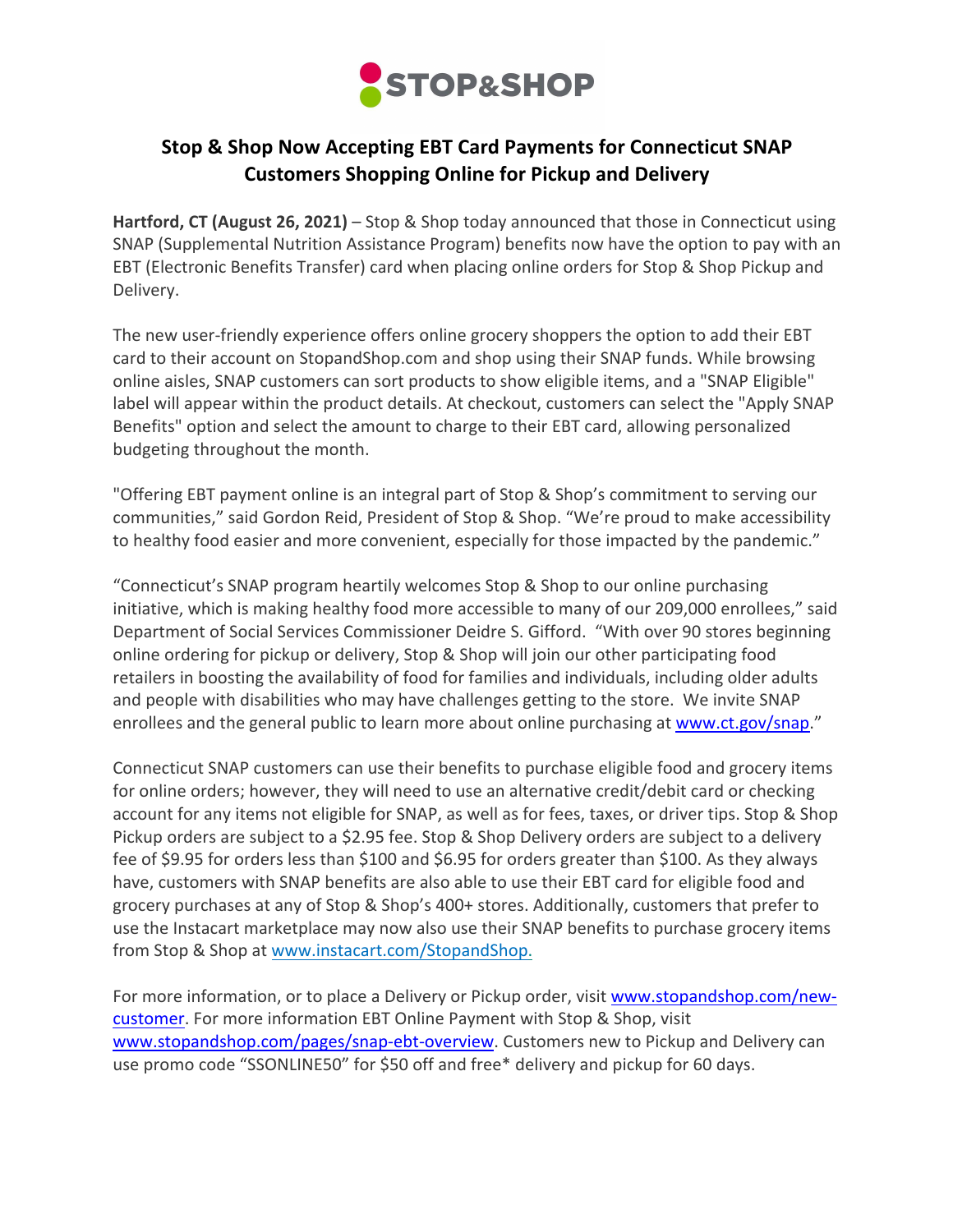

## **Stop & Shop Now Accepting EBT Card Payments for Connecticut SNAP Customers Shopping Online for Pickup and Delivery**

**Hartford, CT (August 26, 2021)** – Stop & Shop today announced that those in Connecticut using SNAP (Supplemental Nutrition Assistance Program) benefits now have the option to pay with an EBT (Electronic Benefits Transfer) card when placing online orders for Stop & Shop Pickup and Delivery.

The new user-friendly experience offers online grocery shoppers the option to add their EBT card to their account on StopandShop.com and shop using their SNAP funds. While browsing online aisles, SNAP customers can sort products to show eligible items, and a "SNAP Eligible" label will appear within the product details. At checkout, customers can select the "Apply SNAP Benefits" option and select the amount to charge to their EBT card, allowing personalized budgeting throughout the month.

"Offering EBT payment online is an integral part of Stop & Shop's commitment to serving our communities," said Gordon Reid, President of Stop & Shop. "We're proud to make accessibility to healthy food easier and more convenient, especially for those impacted by the pandemic."

"Connecticut's SNAP program heartily welcomes Stop & Shop to our online purchasing initiative, which is making healthy food more accessible to many of our 209,000 enrollees," said Department of Social Services Commissioner Deidre S. Gifford. "With over 90 stores beginning online ordering for pickup or delivery, Stop & Shop will join our other participating food retailers in boosting the availability of food for families and individuals, including older adults and people with disabilities who may have challenges getting to the store. We invite SNAP enrollees and the general public to learn more about online purchasing at www.ct.gov/snap."

Connecticut SNAP customers can use their benefits to purchase eligible food and grocery items for online orders; however, they will need to use an alternative credit/debit card or checking account for any items not eligible for SNAP, as well as for fees, taxes, or driver tips. Stop & Shop Pickup orders are subject to a \$2.95 fee. Stop & Shop Delivery orders are subject to a delivery fee of \$9.95 for orders less than \$100 and \$6.95 for orders greater than \$100. As they always have, customers with SNAP benefits are also able to use their EBT card for eligible food and grocery purchases at any of Stop & Shop's 400+ stores. Additionally, customers that prefer to use the Instacart marketplace may now also use their SNAP benefits to purchase grocery items from Stop & Shop at www.instacart.com/StopandShop.

For more information, or to place a Delivery or Pickup order, visit www.stopandshop.com/newcustomer. For more information EBT Online Payment with Stop & Shop, visit www.stopandshop.com/pages/snap-ebt-overview. Customers new to Pickup and Delivery can use promo code "SSONLINE50" for \$50 off and free\* delivery and pickup for 60 days.